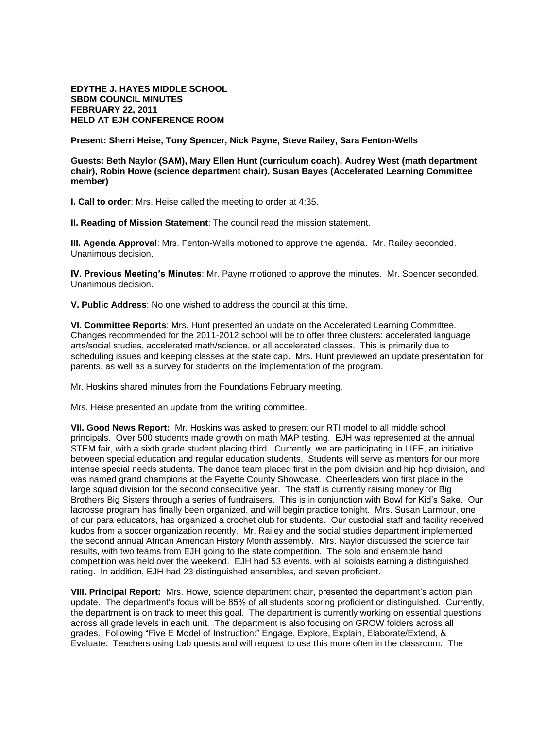**EDYTHE J. HAYES MIDDLE SCHOOL SBDM COUNCIL MINUTES FEBRUARY 22, 2011 HELD AT EJH CONFERENCE ROOM** 

**Present: Sherri Heise, Tony Spencer, Nick Payne, Steve Railey, Sara Fenton-Wells**

**Guests: Beth Naylor (SAM), Mary Ellen Hunt (curriculum coach), Audrey West (math department chair), Robin Howe (science department chair), Susan Bayes (Accelerated Learning Committee member)**

**I. Call to order**: Mrs. Heise called the meeting to order at 4:35.

**II. Reading of Mission Statement**: The council read the mission statement.

**III. Agenda Approval**: Mrs. Fenton-Wells motioned to approve the agenda. Mr. Railey seconded. Unanimous decision.

**IV. Previous Meeting's Minutes**: Mr. Payne motioned to approve the minutes. Mr. Spencer seconded. Unanimous decision.

**V. Public Address**: No one wished to address the council at this time.

**VI. Committee Reports**: Mrs. Hunt presented an update on the Accelerated Learning Committee. Changes recommended for the 2011-2012 school will be to offer three clusters: accelerated language arts/social studies, accelerated math/science, or all accelerated classes. This is primarily due to scheduling issues and keeping classes at the state cap. Mrs. Hunt previewed an update presentation for parents, as well as a survey for students on the implementation of the program.

Mr. Hoskins shared minutes from the Foundations February meeting.

Mrs. Heise presented an update from the writing committee.

**VII. Good News Report:** Mr. Hoskins was asked to present our RTI model to all middle school principals. Over 500 students made growth on math MAP testing. EJH was represented at the annual STEM fair, with a sixth grade student placing third. Currently, we are participating in LIFE, an initiative between special education and regular education students. Students will serve as mentors for our more intense special needs students. The dance team placed first in the pom division and hip hop division, and was named grand champions at the Fayette County Showcase. Cheerleaders won first place in the large squad division for the second consecutive year. The staff is currently raising money for Big Brothers Big Sisters through a series of fundraisers. This is in conjunction with Bowl for Kid's Sake. Our lacrosse program has finally been organized, and will begin practice tonight. Mrs. Susan Larmour, one of our para educators, has organized a crochet club for students. Our custodial staff and facility received kudos from a soccer organization recently. Mr. Railey and the social studies department implemented the second annual African American History Month assembly. Mrs. Naylor discussed the science fair results, with two teams from EJH going to the state competition. The solo and ensemble band competition was held over the weekend. EJH had 53 events, with all soloists earning a distinguished rating. In addition, EJH had 23 distinguished ensembles, and seven proficient.

**VIII. Principal Report:** Mrs. Howe, science department chair, presented the department's action plan update. The department's focus will be 85% of all students scoring proficient or distinguished. Currently, the department is on track to meet this goal. The department is currently working on essential questions across all grade levels in each unit. The department is also focusing on GROW folders across all grades. Following "Five E Model of Instruction:" Engage, Explore, Explain, Elaborate/Extend, & Evaluate. Teachers using Lab quests and will request to use this more often in the classroom. The